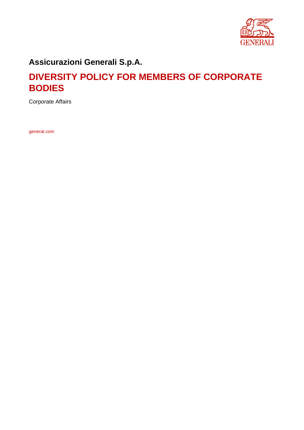

### **Assicurazioni Generali S.p.A.**

### **DIVERSITY POLICY FOR MEMBERS OF CORPORATE BODIES**

Corporate Affairs

general.com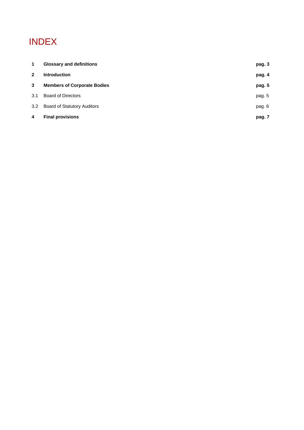# INDEX

| 4              | <b>Final provisions</b>            | pag. 7 |
|----------------|------------------------------------|--------|
| 3.2            | <b>Board of Statutory Auditors</b> | pag. 6 |
| 3.1            | <b>Board of Directors</b>          | pag. 5 |
| 3              | <b>Members of Corporate Bodies</b> | pag. 5 |
| $\overline{2}$ | <b>Introduction</b>                | pag. 4 |
| $\mathbf 1$    | <b>Glossary and definitions</b>    | pag. 3 |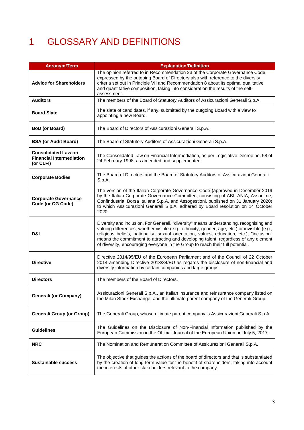# 1 GLOSSARY AND DEFINITIONS

| <b>Acronym/Term</b>                                                        | <b>Explanation/Definition</b>                                                                                                                                                                                                                                                                                                                                                                                                                                  |
|----------------------------------------------------------------------------|----------------------------------------------------------------------------------------------------------------------------------------------------------------------------------------------------------------------------------------------------------------------------------------------------------------------------------------------------------------------------------------------------------------------------------------------------------------|
| <b>Advice for Shareholders</b>                                             | The opinion referred to in Recommendation 23 of the Corporate Governance Code,<br>expressed by the outgoing Board of Directors also with reference to the diversity<br>criteria set out in Principle VII and Recommendation 8 about its optimal qualitative<br>and quantitative composition, taking into consideration the results of the self-<br>assessment.                                                                                                 |
| <b>Auditors</b>                                                            | The members of the Board of Statutory Auditors of Assicurazioni Generali S.p.A.                                                                                                                                                                                                                                                                                                                                                                                |
| <b>Board Slate</b>                                                         | The slate of candidates, if any, submitted by the outgoing Board with a view to<br>appointing a new Board.                                                                                                                                                                                                                                                                                                                                                     |
| <b>BoD</b> (or Board)                                                      | The Board of Directors of Assicurazioni Generali S.p.A.                                                                                                                                                                                                                                                                                                                                                                                                        |
| <b>BSA (or Audit Board)</b>                                                | The Board of Statutory Auditors of Assicurazioni Generali S.p.A.                                                                                                                                                                                                                                                                                                                                                                                               |
| <b>Consolidated Law on</b><br><b>Financial Intermediation</b><br>(or CLFI) | The Consolidated Law on Financial Intermediation, as per Legislative Decree no. 58 of<br>24 February 1998, as amended and supplemented.                                                                                                                                                                                                                                                                                                                        |
| <b>Corporate Bodies</b>                                                    | The Board of Directors and the Board of Statutory Auditors of Assicurazioni Generali<br>S.p.A.                                                                                                                                                                                                                                                                                                                                                                 |
| <b>Corporate Governance</b><br>Code (or CG Code)                           | The version of the Italian Corporate Governance Code (approved in December 2019<br>by the Italian Corporate Governance Committee, consisting of ABI, ANIA, Assonime,<br>Confindustria, Borsa Italiana S.p.A. and Assogestioni, published on 31 January 2020)<br>to which Assicurazioni Generali S.p.A. adhered by Board resolution on 14 October<br>2020.                                                                                                      |
| D&I                                                                        | Diversity and inclusion. For Generali, "diversity" means understanding, recognising and<br>valuing differences, whether visible (e.g., ethnicity, gender, age, etc.) or invisible (e.g.,<br>religious beliefs, nationality, sexual orientation, values, education, etc.); "inclusion"<br>means the commitment to attracting and developing talent, regardless of any element<br>of diversity, encouraging everyone in the Group to reach their full potential. |
| <b>Directive</b>                                                           | Directive 2014/95/EU of the European Parliament and of the Council of 22 October<br>2014 amending Directive 2013/34/EU as regards the disclosure of non-financial and<br>diversity information by certain companies and large groups.                                                                                                                                                                                                                          |
| <b>Directors</b>                                                           | The members of the Board of Directors.                                                                                                                                                                                                                                                                                                                                                                                                                         |
| <b>Generali (or Company)</b>                                               | Assicurazioni Generali S.p.A., an Italian insurance and reinsurance company listed on<br>the Milan Stock Exchange, and the ultimate parent company of the Generali Group.                                                                                                                                                                                                                                                                                      |
| <b>Generali Group (or Group)</b>                                           | The Generali Group, whose ultimate parent company is Assicurazioni Generali S.p.A.                                                                                                                                                                                                                                                                                                                                                                             |
| <b>Guidelines</b>                                                          | The Guidelines on the Disclosure of Non-Financial Information published by the<br>European Commission in the Official Journal of the European Union on July 5, 2017.                                                                                                                                                                                                                                                                                           |
| <b>NRC</b>                                                                 | The Nomination and Remuneration Committee of Assicurazioni Generali S.p.A.                                                                                                                                                                                                                                                                                                                                                                                     |
| <b>Sustainable success</b>                                                 | The objective that guides the actions of the board of directors and that is substantiated<br>by the creation of long-term value for the benefit of shareholders, taking into account<br>the interests of other stakeholders relevant to the company.                                                                                                                                                                                                           |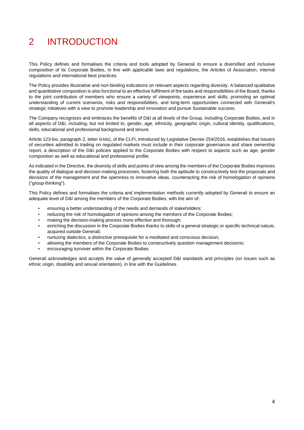# 2 INTRODUCTION

This Policy defines and formalises the criteria and tools adopted by Generali to ensure a diversified and inclusive composition of its Corporate Bodies, in line with applicable laws and regulations, the Articles of Association, internal regulations and international best practices.

The Policy provides illustrative and non-binding indications on relevant aspects regarding diversity. A balanced qualitative and quantitative composition is also functional to an effective fulfilment of the tasks and responsibilities of the Board, thanks to the joint contribution of members who ensure a variety of viewpoints, experience and skills, promoting an optimal understanding of current scenarios, risks and responsibilities, and long-term opportunities connected with Generali's strategic initiatives with a view to promote leadership and innovation and pursue Sustainable success.

The Company recognizes and embraces the benefits of D&I at all levels of the Group, including Corporate Bodies, and in all aspects of D&I, including, but not limited to, gender, age, ethnicity, geographic origin, cultural identity, qualifications, skills, educational and professional background and tenure.

Article 123-bis, paragraph 2, letter d-bis), of the CLFI, introduced by Legislative Decree 254/2016, establishes that issuers of securities admitted to trading on regulated markets must include in their corporate governance and share ownership report, a description of the D&I policies applied to the Corporate Bodies with respect to aspects such as age, gender composition as well as educational and professional profile.

As indicated in the Directive, the diversity of skills and points of view among the members of the Corporate Bodies improves the quality of dialogue and decision-making processes, fostering both the aptitude to constructively test the proposals and decisions of the management and the openness to innovative ideas, counteracting the risk of homologation of opinions ("group-thinking").

This Policy defines and formalises the criteria and implementation methods currently adopted by Generali to ensure an adequate level of D&I among the members of the Corporate Bodies, with the aim of:

- ensuring a better understanding of the needs and demands of stakeholders;
- reducing the risk of homologation of opinions among the members of the Corporate Bodies;
- making the decision-making process more effective and thorough;
- enriching the discussion in the Corporate Bodies thanks to skills of a general strategic or specific technical nature, acquired outside Generali;
- nurturing dialectics, a distinctive prerequisite for a meditated and conscious decision;
- allowing the members of the Corporate Bodies to constructively question management decisions;
- encouraging turnover within the Corporate Bodies.

Generali acknowledges and accepts the value of generally accepted D&I standards and principles (on issues such as ethnic origin, disability and sexual orientation), in line with the Guidelines.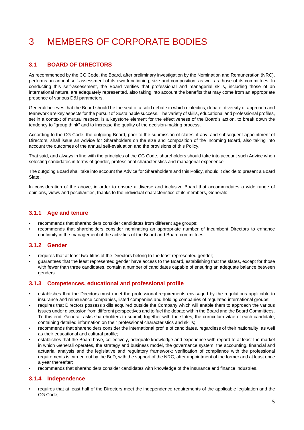# 3 MEMBERS OF CORPORATE BODIES

#### **3.1 BOARD OF DIRECTORS**

As recommended by the CG Code, the Board, after preliminary investigation by the Nomination and Remuneration (NRC), performs an annual self-assessment of its own functioning, size and composition, as well as those of its committees. In conducting this self-assessment, the Board verifies that professional and managerial skills, including those of an international nature, are adequately represented, also taking into account the benefits that may come from an appropriate presence of various D&I parameters.

Generali believes that the Board should be the seat of a solid debate in which dialectics, debate, diversity of approach and teamwork are key aspects for the pursuit of Sustainable success. The variety of skills, educational and professional profiles, set in a context of mutual respect, is a keystone element for the effectiveness of the Board's action, to break down the tendency to "group think" and to increase the quality of the decision-making process.

According to the CG Code, the outgoing Board, prior to the submission of slates, if any, and subsequent appointment of Directors, shall issue an Advice for Shareholders on the size and composition of the incoming Board, also taking into account the outcomes of the annual self-evaluation and the provisions of this Policy.

That said, and always in line with the principles of the CG Code, shareholders should take into account such Advice when selecting candidates in terms of gender, professional characteristics and managerial experience.

The outgoing Board shall take into account the Advice for Shareholders and this Policy, should it decide to present a Board Slate.

In consideration of the above, in order to ensure a diverse and inclusive Board that accommodates a wide range of opinions, views and peculiarities, thanks to the individual characteristics of its members, Generali:

#### **3.1.1 Age and tenure**

- recommends that shareholders consider candidates from different age groups;
- recommends that shareholders consider nominating an appropriate number of incumbent Directors to enhance continuity in the management of the activities of the Board and Board committees.

#### **3.1.2 Gender**

- requires that at least two-fifths of the Directors belong to the least represented gender;
- guarantees that the least represented gender have access to the Board, establishing that the slates, except for those with fewer than three candidates, contain a number of candidates capable of ensuring an adequate balance between genders.

#### **3.1.3 Competences, educational and professional profile**

- establishes that the Directors must meet the professional requirements envisaged by the regulations applicable to insurance and reinsurance companies, listed companies and holding companies of regulated international groups;
- requires that Directors possess skills acquired outside the Company which will enable them to approach the various issues under discussion from different perspectives and to fuel the debate within the Board and the Board Committees. To this end, Generali asks shareholders to submit, together with the slates, the curriculum vitae of each candidate, containing detailed information on their professional characteristics and skills;
- recommends that shareholders consider the international profile of candidates, regardless of their nationality, as well as their educational and cultural profile;
- establishes that the Board have, collectively, adequate knowledge and experience with regard to at least the market in which Generali operates, the strategy and business model, the governance system, the accounting, financial and actuarial analysis and the legislative and regulatory framework; verification of compliance with the professional requirements is carried out by the BoD, with the support of the NRC, after appointment of the former and at least once a year thereafter;
- recommends that shareholders consider candidates with knowledge of the insurance and finance industries.

#### **3.1.4 Independence**

requires that at least half of the Directors meet the independence requirements of the applicable legislation and the CG Code;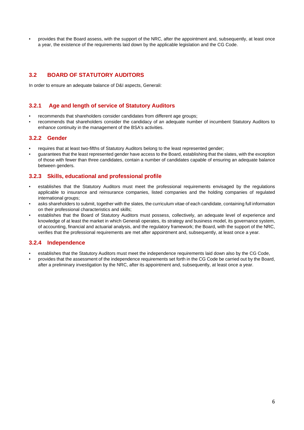provides that the Board assess, with the support of the NRC, after the appointment and, subsequently, at least once a year, the existence of the requirements laid down by the applicable legislation and the CG Code.

#### **3.2 BOARD OF STATUTORY AUDITORS**

In order to ensure an adequate balance of D&I aspects, Generali:

#### **3.2.1 Age and length of service of Statutory Auditors**

- recommends that shareholders consider candidates from different age groups:
- recommends that shareholders consider the candidacy of an adequate number of incumbent Statutory Auditors to enhance continuity in the management of the BSA's activities.

#### **3.2.2 Gender**

- requires that at least two-fifths of Statutory Auditors belong to the least represented gender;
- guarantees that the least represented gender have access to the Board, establishing that the slates, with the exception of those with fewer than three candidates, contain a number of candidates capable of ensuring an adequate balance between genders.

#### **3.2.3 Skills, educational and professional profile**

- establishes that the Statutory Auditors must meet the professional requirements envisaged by the regulations applicable to insurance and reinsurance companies, listed companies and the holding companies of regulated international groups;
- asks shareholders to submit, together with the slates, the curriculum vitae of each candidate, containing full information on their professional characteristics and skills;
- establishes that the Board of Statutory Auditors must possess, collectively, an adequate level of experience and knowledge of at least the market in which Generali operates, its strategy and business model, its governance system, of accounting, financial and actuarial analysis, and the regulatory framework; the Board, with the support of the NRC, verifies that the professional requirements are met after appointment and, subsequently, at least once a year.

#### **3.2.4 Independence**

- establishes that the Statutory Auditors must meet the independence requirements laid down also by the CG Code,
- provides that the assessment of the independence requirements set forth in the CG Code be carried out by the Board, after a preliminary investigation by the NRC, after its appointment and, subsequently, at least once a year.